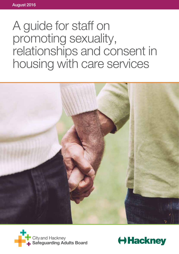# A guide for staff on promoting sexuality, relationships and consent in housing with care services





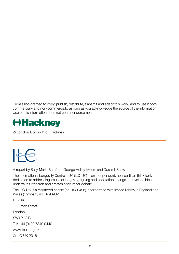Permission granted to copy, publish, distribute, transmit and adapt this work, and to use it both commercially and non-commercially, as long as you acknowledge the source of the information. Use of this information does not confer endorsement.



© London Borough of Hackney



A report by Sally-Marie Bamford, George Holley-Moore and Dashiell Shaw

The International Longevity Centre – UK (ILC-UK) is an independent, non-partisan think tank dedicated to addressing issues of longevity, ageing and population change. It develops ideas, undertakes research and creates a forum for debate.

The ILC-UK is a registered charity (no. 1080496) incorporated with limited liability in England and Wales (company no. 3798902).

ILC-UK 11 Tufton Street London SW1P 3QB Tel: +44 (0) 20 7340 0440 www.ilcuk.org.uk © ILC-UK 2016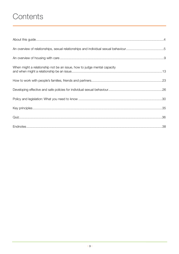## Contents

| When might a relationship not be an issue, how to judge mental capacity |  |
|-------------------------------------------------------------------------|--|
|                                                                         |  |
|                                                                         |  |
|                                                                         |  |
|                                                                         |  |
|                                                                         |  |
|                                                                         |  |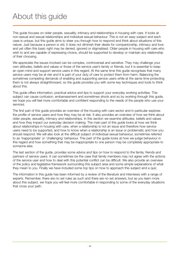## About this guide

This guide focuses on older people, sexuality, intimacy and relationships in housing with care. It looks at non-sexual and sexual relationships and individual sexual behaviour. This is not an easy subject and each case is unique, but this guide aims to steer you through how to respond and think about situations of this nature. Just because a person is old, it does not diminish their desire for companionship, intimacy and love and yet often this basic right may be denied, ignored or stigmatised. Older people in housing with care who wish to and are capable of expressing choice, should be supported to develop or maintain any relationship of their choosing.

We appreciate the issues involved can be complex, controversial and sensitive. They may challenge your own attitudes, beliefs and values or those of the service user's family or friends, but it is essential to keep an open mind and support service users in this regard. At the same time this guide recognises that many service users may be at risk and it is part of your duty of care to protect them from harm. Balancing the sometimes competing demands of enabling and supporting service users while at the same time protecting them is not always straightforward, so the guide provides you with some key techniques and tools to think about this.

This guide offers information, practical advice and tips to support your everyday working activities. This subject can cause confusion, embarrassment and sometimes shock and so by working through this guide, we hope you will feel more comfortable and confident responding to the needs of the people who use your services.

The first part of this guide provides an overview of the housing with care sector and in particular explores the profile of service users and how they may be at risk. It also provides an overview of how we think about older people, sexuality, intimacy and relationships. In this section we examine attitudes, beliefs and values and how they impact our everyday decision making. The main part of this guide looks at how we think about relationships in housing with care, when a relationship is not an issue and therefore how service users need to be supported, and how to know when a relationship is an issue or problematic and how you should respond. We will also look at the difficult subject of individual sexual behaviour, sometimes referred to as 'inappropriate' or 'challenging' behaviour. This part of the guide looks at how we judge behaviour in this regard and how something that may be inappropriate to one person may be completely appropriate to someone else.

The last section of the guide, provides some advice and tips on how to respond to the family, friends and partners of service users. It can sometimes be the case that family members may not agree with the actions of the service user and how to deal with this potential conflict can be difficult. We also provide an overview of the policy and legislative framework surrounding this subject area and some simple explanations of what they mean to you. Finally we have included some top tips on how to approach this subject and a quiz.

The information in this guide has been informed by a review of the literature and interviews with a range of experts. Remember, there are no set rules as such and there are no set answers, but as you learn more about this subject, we hope you will feel more comfortable in responding to some of the everyday situations that cross your path.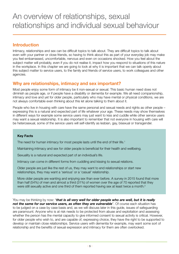## **Introduction**

Intimacy, relationships and sex can be difficult topics to talk about. They are difficult topics to talk about even with your partner or close friends, so having to think about this as part of your everyday job may make you feel embarrassed, uncomfortable, nervous and even on occasions shocked. How you feel about the subject matter will probably, even if you do not realise it, impact how you respond to situations of this nature in the workplace. In this chapter we are going to look at why it is important that we can talk openly about this subject matter to service users, to the family and friends of service users, to work colleagues and other agencies.

## **Why are relationships, intimacy and sex important?**

Most people enjoy some form of intimacy be it non-sexual or sexual. This basic human need does not diminish as people age, or if people have a disability or dementia for example. We all need companionship, intimacy and love and yet for older people, particularly who may have mental or physical conditions, we are not always comfortable even thinking about this let alone talking to them about it.

People who live in housing with care have the same personal and sexual needs and rights as other people – expressing this is a natural and expected part of life whatever your age. These needs may show themselves in different ways for example some service users may just want to kiss and cuddle while other service users may want a sexual relationship. It is also important to remember that not everyone in housing with care will be heterosexual, some of the service users will self-identify as lesbian, gay, bisexual or transgender.

#### **Key Facts**

The need for human intimacy for most people lasts until the end of their life.<sup>1</sup>

Maintaining intimacy and sex for older people is beneficial for their health and wellbeing.

Sexuality is a natural and expected part of an individual's life.

Intimacy can come in different forms from cuddling and kissing to sexual relations.

Older people are just like the rest of us, they may want to end relationships or start new relationships, they may want a 'serious' or a 'casual' relationship.

More older people are wanting and enjoying sex than ever before. A survey in 2015 found that more than half (54%) of men and almost a third (31%) of women over the age of 70 reported that they were still sexually active and one third of them reported having sex at least twice a month.<sup>2</sup>

You may be thinking by now: "*that is all very well for older people who are well, but it is really not the same for our service users, as often they are vulnerable*". Of course each situation has to be judged on a case by case basis and, as we will discuss later in this guide, issues of safeguarding are paramount. Anyone who is at risk needs to be protected from abuse and exploitation and assessing whether the person has the mental capacity to give informed consent to sexual activity is critical. However, for older people who wish to, and are capable of, expressing choice, they have the right to be supported to develop or maintain close relationships. Service users with dementia for example, may want some sort of relationship and the benefits of sexual expression and intimacy for them are often overlooked.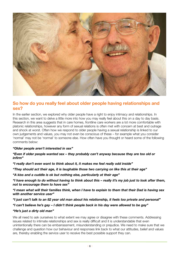

## **So how do you really feel about older people having relationships and sex?**

In the earlier section, we explored why older people have a right to enjoy intimacy and relationships. In this section, we want to delve a little more into how you may really feel about this on a day to day basis. Research in this area suggests that in care homes, frontline care workers are a lot more comfortable with platonic relationships, however any form of sexual relations is often met with concern at best and outrage and shock at worst. Often how we respond to older people having a sexual relationship is linked to our own judgements and values, you may not even be conscious of these – for example what you consider 'normal' may not be 'normal' to someone else. How often have you thought or heard some of the following comments below:

#### *"Older people aren't interested in sex"*

*"Even if older people wanted sex – they probably can't anyway because they are too old or infirm"*

*"I really don't even want to think about it, it makes me feel really odd inside"*

*"They should act their age, it is laughable those two carrying on like this at their age"*

*"A kiss and a cuddle is ok but nothing else, particularly at their age"*

*"I have enough to do without having to think about this – really it's my job just to look after them, not to encourage them to have sex"*

*"I mean what will their families think, when I have to explain to them that their Dad is having sex with another service user"*

*"I just can't talk to an 82 year old man about his relationship, it feels too private and personal"*

*"I can't believe he's gay – I didn't think people back in his day were allowed to be gay"*

#### *"He's just a dirty old man"*

We all need to ask ourselves to what extent we may agree or disagree with these comments. Addressing issues related to intimate relationships and sex is really difficult and it is understandable that even unintentionally there can be embarrassment, misunderstanding or prejudice. We need to make sure that we challenge and question how our behaviour and responses link back to what our attitudes, belief and values are, thereby enabling the service user to receive the best possible support they can.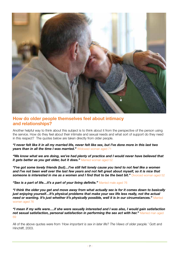

## **How do older people themselves feel about intimacy and relationships?**

Another helpful way to think about this subject is to think about it from the perspective of the person using the service. How do they feel about their intimate and sexual needs and what sort of support do they need in this respect? The quotes below are taken directly from older people.

*"I never felt like it in all my married life, never felt like sex, but I've done more in this last two years than in all the time I was married."* Widowed woman aged 71

*"We know what we are doing, we've had plenty of practice and I would never have believed that it gets better as you get older, but it does."* Married woman aged 52

*"I've got some lovely friends (but)…I've still felt lonely cause you tend to not feel like a women and I've not been well over the last few years and not felt great about myself, so it is nice that someone is interested in me as a women and I find that to be the best bit."* Divorced woman aged 52

*"Sex is a part of life…it's a part of your living definite."* Married male aged 76

*"I think the older you get and move away from what actually sex is for it comes down to basically just enjoying yourself…It's physical problems that make your sex life less really, not the actual need or wanting. It's just whether it's physically possible, well it is in our circumstances."* Married women aged 76

*"I mean if my wife were….if she were sexually interested and I was also, I would gain satisfaction not sexual satisfaction, personal satisfaction in performing the sex act with her."* Married man aged 69

All of the above quotes were from *'How important is sex in later life? The Views of older people.'* Gott and Hinchliff, 2003.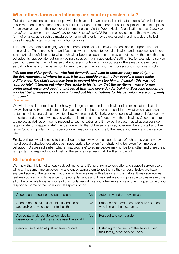## **What others forms can intimacy or sexual expression take?**

Outside of a relationship, older people will also have their own personal or intimate desires. We will discuss this in more detail in another chapter, but it is important to remember that sexual expression can take place for an older person on their own or with someone else. As the World Health Organisation states *"Individual sexual expression is an important part of overall sexual health".*<sup>3</sup> For some service users this may take the form of physical acts such as masturbation or fondling or it may be expressed in a simple desire to feel close to people in terms of wanting a hug or a kiss.

This becomes more challenging when a service user's sexual behaviour is considered 'inappropriate' or 'challenging'. There are no hard and fast rules when it comes to sexual behaviour and responses and there is no particular definition as to when behaviour becomes abnormal.<sup>4</sup> It may sometimes be the case that the behaviour is 'appropriate' but simply being displayed in an 'inappropriate' setting. So, for example, a service user with dementia may not realise that undressing outside is inappropriate or there may not even be a sexual motive behind the behaviour, for example they may just find their trousers uncomfortable or itchy.

*"We had one older gentleman who had dementia and used to undress every day at 4pm on the dot, regardless of where he was, if he was outside or with other people, it didn't make a difference. The staff repeatedly tried to prevent him or stop him and explain this was not 'appropriate'. It turned out when they spoke to his family, that the gentleman was a former professional rower and used to undress at that time every day for training. Everyone thought he was just being 'inappropriate' but it turned out his motivations for his behaviour were completely innocent".*

Care Worker

We will discuss in more detail later how you judge and respond to behaviour of a sexual nature, but it is always helpful to try to understand the reasons behind behaviour and consider to what extent your own attitudes, beliefs and values may affect how you respond. Similarly, your response will also be influenced by the culture and ethos of where you work, the location and the frequency of the behaviour. Of course there are no set guidelines on how to respond to each situation and it may be the case that what you consider 'appropriate' or 'inappropriate' may be different to that of the service user, other members of staff and their family. So it is important to consider your own reactions and critically the needs and feelings of the service user.

Finally, perhaps we also need to think about the best way to describe this sort of behaviour, you may have heard sexual behaviour described as "inappropriate behaviour' or 'challenging behaviour' or 'improper behaviour'. As we said earlier, what is 'inappropriate' to some people may not be to another and therefore it is important to respond without making the service user feel small, belittled or told off.

## **Still confused?**

We know that this is not an easy subject matter and it's hard trying to look after and support service users while at the same time empowering and encouraging them to live the life they choose. Below we have explored some of the tensions that underpin how we deal with situations of this nature. It may sometimes feel like you are trying to balance competing demands and it may feel like it is impossible to please everyone all of the time. We hope as you read this guide we will give you a few more tools and techniques to help you respond to some of the more difficult aspects of this.

| A focus on protecting and paternalism                                                       | Vs | Autonomy and empowerment                                                         |
|---------------------------------------------------------------------------------------------|----|----------------------------------------------------------------------------------|
| A focus on a service user's identity based on<br>age and/ or physical or mental health      | Vs | Emphasis on person centred care / someone<br>who is more than just an age        |
| Accidental or deliberate tendencies to<br>disempower or treat the service user like a child | Vs | Respect and compassion                                                           |
| Service users seen as just receivers of care                                                | Vs | Listening to the views of the service user,<br>their family, other service users |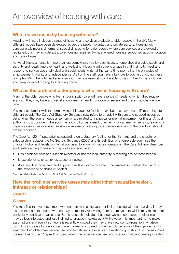## **What do we mean by housing with care?**

Housing with care includes a range of housing and services available to older people in the UK. Many different models have been developed across the public, voluntary and private sectors. Housing with care generally means all forms of specialist housing for older people where care services are provided or facilitated, this may include extra care housing, assisted living, sheltered housing, supported accommodation and care villages.

As we all know a house is more than just somewhere you lay your head, a home should provide safety and security and ideally improve health and wellbeing. Housing with care is unique in that it aims to meet and respond to service users' physical and social needs whilst at the same time promoting the principles of empowerment, dignity and independence. As frontline staff, you have a key role to play in upholding these principles. With the right package of support, service users should be able to stay in their home for longer and delay or avoid moving to a nursing home.

## **What is the profile of older people who live in housing with care?**

Many of the older people who live in housing with care will have a range of needs for which they require support. They may have a physical and/or mental health condition or several and these may change over time.

You may be familiar with the terms 'vulnerable adult' or 'adult at risk' but this may mean different things to different people.The Care Act Statutory Guidance now refers to an adult with care and support needs as being when the adult's needs arise from or are related to a physical or mental impairment or illness. A local authority must consider if the adult has a condition as a result of either physical, mental, sensory, learning or cognitive disabilities or illness, substance misuse or brain injury. A formal diagnosis of the condition should not be required.<sup>5</sup>

The Care Act (2014) puts adult safeguarding on a statutory footing for the first time and the chapter on safeguarding replaces the No Secrets Guidance (2000) and its definition of a vulnerable adult (see the chapter 'Policy and legislation: What you need to know' for more information). The Care Act now describes adult safeguarding duties which apply to any adult who:

- Has needs for care and support (whether or not the local authority is meeting any of those needs).
- Is experiencing, or at risk of, abuse or neglect.
- As a result of those care and support needs is unable to protect themselves from either the risk of, or the experience of abuse or neglect.

Source: Social Care Institute for Excellence, (2015) Adult Safeguarding Practice Questions

## **How the profile of service users may affect their sexual behaviour, intimacy or relationships?**

#### Gender

#### **Women**

You may find that you have more women than men using your particular housing with care service. It may also be the case that some women may be recently recovering from a bereavement which may make them particularly sensitive or vulnerable. Some research indicates that older women compared to older men may be less interested and less inclined to engage in sexual activity. However it is important not to make assumptions and even if someone is recently widowed they may crave new companionship in whatever form. It is also easy to over-protect older women compared to men simply because of their gender, so for example, if an older male service user and female service user start a relationship it should not be assumed the man has 'forced' 'cajoled' or 'persuaded' the other service user and she automatically needs protecting.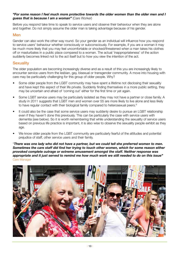#### *"For some reason I feel much more protective towards the older women than the older men and I guess that is because I am a woman"* (Care Worker)

Before you respond take time to speak to service users and observe their behaviour when they are alone and together. Do not simply assume the older man is taking advantage because of his gender.

#### Men

Gender can also work the other way round. So your gender as an individual will influence how you respond to service users' behaviour whether consciously or subconsciously. For example, if you are a woman it may be much more likely that you may feel uncomfortable or shocked/threatened when a man takes his clothes off or masturbates in a public place compared to a woman. The actual 'inappropriateness' of the action suddenly becomes linked not to the act itself but to how you view the intention of the act.

#### **Sexuality**

The older population are becoming increasingly diverse and as a result of this you are increasingly likely to encounter service users from the lesbian, gay, bisexual or transgender community. A move into housing with care may be particularly challenging for this group of older people. Why?

- Some older people from the LGBT community may have spent a lifetime not disclosing their sexuality and have kept this aspect of their life private. Suddenly finding themselves in a more public setting, they may be uncertain and afraid of 'coming out' either for the first time or yet again.
- Some LGBT service users may be particularly isolated as they may not have a partner or close family. A study in 2011 suggests that LGBT men and women over 55 are more likely to live alone and less likely to have regular contact with their biological family compared to heterosexual peers.<sup>6</sup>
- It could also be the case that some service users may suddenly desire to pursue an LGBT relationship even if they haven't done this previously. This can be particularly the case with service users with dementia (see below). So it is worth remembering that while understanding the sexuality of service users based on previous life practice is important, it is also wise to observe the sexuality people exhibit as they age.
- We know older people from the LGBT community are particularly fearful of the attitudes and potential prejudice of staff, other service users and their family.

"*There was one lady who did not have a partner, but we could tell she preferred women to men. Sometimes the care staff did find her trying to touch other women, which for some reason either provoked complete outrage or extreme amusement amongst the staff. Neither response was appropriate and it just served to remind me how much work we still needed to do on this issue"*  Care Manager

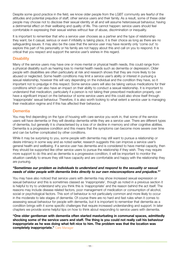Despite some good practice in the field, we know older people from the LGBT community are fearful of the attitudes and potential prejudice of staff, other service users and their family. As a result, some of these older people may choose not to disclose their sexual identity at all and will assume heterosexual behaviour, having a detrimental effect on their wellbeing and quality of life. This cannot happen: service users should feel comfortable in expressing their sexual wishes without fear of abuse, discrimination or inequality.

It is important to remember that who a service user chooses as a partner and the type of relationship they want, be it casual, serious or even if infidelity is taking place, it is their choice as long as there are no safeguarding issues. It may also be the case that the service user may have recently only 'come out' to explore this part of his personality or his family are not happy about this and call on you to respond. It is critical that you respect and support the service user's wishes in this regard.

#### **Disability**

Many of the service users may have one or more mental or physical health needs, this could range from a physical disability such as hearing loss to mental health needs such as dementia or depression. Older people with disabilities are often particularly at risk and research shows that they are more likely to be abused or neglected. Some health conditions may limit a service user's ability or interest in pursuing a sexual relationship, however this will vary depending on the individual and the condition they have, so it important not to prejudge in this respect. Some service users will also be taking various medications for their conditions which can also have an impact on their ability to conduct a sexual relationship. It is important to understand that medication, particularly if a person is not taking their prescribed medication properly, can have a significant impact on the behaviour of some service users and this could also show itself through 'inappropriate' sexual behaviour. Therefore, it is also worth looking to what extent a service user is managing their medication regime and if this has affected their behaviour.

#### **Dementia**

You may find depending on the type of housing with care service you work in, that some of the service users will have dementia or they will develop dementia while they are a service user. There are different types of dementia, but generally it is characterised by a loss of or decline in memory and other cognitive abilities. Dementia is a progressive condition and this means that the symptoms can become more severe over time and can be further complicated by other conditions.

While it may be surprising to you, some people with dementia may still want to pursue a relationship or desire intimacy in some way and as noted earlier, research suggests this can improve a service user's general health and wellbeing. If a service user has dementia and is considered to have mental capacity, then they should be supported like other service users to pursue the relationship if they wish. They may require more support to do this and as dementia is a progressive condition, it will be important to monitor the situation carefully to ensure they still have capacity and are comfortable and happy with the relationship they are pursuing.

#### *"Sometimes our problem as individuals to understand and respond to the sexuality or sexual needs of older people with dementia links directly to our own misconceptions and prejudice."7*

You may have also noticed that service users with dementia may show increased sexual expression or sexual behaviour and this is sometimes classed as 'inappropriate', though as noted in a previous section it is helpful to try to understand why you think this is 'inappropriate' and the reason behind the act itself. The reasons may include disease related factors, poor management of medication or consumption of alcohol, social or psychological factors. This sort of behaviour is not particularly common and more likely to occur in the moderate to late stages of dementia. Of course there are no hard and fast rules when it comes to assessing sexual behaviour for people with dementia, but it is important to remember that dementia as a condition brings with it some specific challenges that require increased understanding and support. In later chapters we provide some helpful tips on how to think about responding to service users with dementia.

**"One older gentleman with dementia often started masturbating in communal spaces, admittedly shocking some of the service users and staff. The thing is you could not really call his behaviour inappropriate as he was doing what felt nice to him. The problem was that the location was completely inappropriate."** Care Manager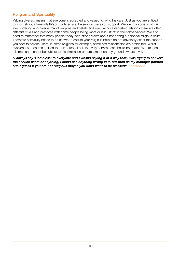### Religion and Spirituality

Valuing diversity means that everyone is accepted and valued for who they are. Just as you are entitled to your religious beliefs/faith/spirituality so are the service users you support. We live in a society with an ever widening and diverse mix of religions and beliefs and even within established religions there are often different rituals and practices with some people being more or less 'strict' in their observances. We also need to remember that many people today hold strong views about not having a personal religious belief. Therefore sensitivity needs to be shown to ensure your religious beliefs do not adversely affect the support you offer to service users. In some religions for example, same-sex relationships are prohibited. Whilst everyone is of course entitled to their personal beliefs, every service user should be treated with respect at all times and cannot be subject to discrimination or harassment on any grounds whatsoever.

*"I always say 'God bless' to everyone and I wasn't saying it in a way that I was trying to convert the service users or anything, I didn't see anything wrong in it, but then as my manager pointed out, I guess if you are not religious maybe you don't want to be blessed!" Care Worker*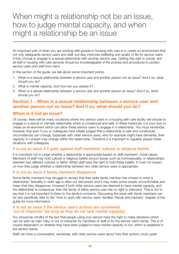## When might a relationship not be an issue, how to judge mental capacity, and when might a relationship be an issue

An important part of when you are working with people in housing with care is to create an environment that not only safeguards service users and staff, but also improves wellbeing and quality of life for service users if they choose to engage in a sexual relationship with another service user. Getting this right is crucial, and all staff in housing with care services should be knowledgeable of the policies and procedures to protect service users and staff from harm.

In this section of the quide, we talk about some important points:

- 1. When is a sexual relationship between a service user and another person not an issue? And if so, what should you do?
- 2. What is mental capacity, and how can you assess it?
- 3. When is a sexual relationship between a service user and another person an issue? And if so, what should you do?

## **Section 1 – When is a sexual relationship between a service user and another person not an issue? And if so, what should you do?**

### **When is it not an issue?**

Of course, there will be many occasions where two service users in a housing with care facility will choose to engage in a sexual or intimate relationship which is consensual and safe. In these instances, it is your duty to create an environment which can allow these service users to engage in a relationship. You must remember, however, that even if you or colleagues have initially judged that a relationship is safe and consensual, circumstances can change. Especially with older service users, who for example might have dementia, their capacity to consent may change within the relationship. Therefore it is important to regularly assess these situations with colleagues.

#### It is not an issue if it goes against staff members' cultural or religious beliefs

It is important not to judge whether a relationship is appropriate based on staff members' moral values. Members of staff may hold cultural or religious beliefs around issues such as homosexuality, or relationships between two different cultures or faiths. Whilst staff have the right to hold these beliefs, it must not impact on how they judge whether a relationship between two older service users is appropriate.

#### It is not an issue if family members disapprove

Some family members may struggle to accept that their older family member has chosen to enter a relationship. Sexuality in older age is often not discussed, and it may make some people uncomfortable and mean that they disapprove. However if both older service users are deemed to have mental capacity, and the relationship is consensual, then the family of either service user has no right to intervene. That is not to say that it is not important to listen to the family's concerns. Discussing the issue with family members can be very beneficial; refer to the 'How to work with service users' families, friends and partners' chapter of this guide for more information.

#### It is not an issue if the service user's actions are considered 'out of character' (as long as they do not lack mental capacity)

You should be mindful of the fact that people using your service have the right to make decisions which can be seen as rash, risky or out of character by members of staff or by the service user's family. This is of course dependent on whether they have been judged to have mental capacity or not, which is explained in the section below.

Staff can have a conversation, sensitively, with older service users about how their actions could upset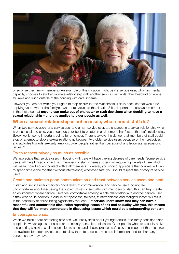

or surprise their family members.<sup>8</sup> An example of this situation might be if a service user, who has mental capacity, chooses to start an intimate relationship with another service user whilst their husband or wife is still alive and living outside of the housing with care scheme.

However you are not within your rights to stop or disrupt the relationship. This is because that would be applying your own, or the family's own, moral values to the situation.<sup>9</sup> It is important to always remember in this instance that **anyone can make out of character or rash decisions when deciding to have a sexual relationship – and this applies to older people as well**.

## **When a sexual relationship is not an issue, what should staff do?**

When two service users or a service user and a non-service user, are engaged in a sexual relationship which is consensual and safe, you should do your best to create an environment that fosters that safe relationship. Below we list some important points to remember. There is always the danger that members of staff could stop or attempt to stop a sexual relationship between two older service users because of their prejudices and attitudes towards sexuality amongst older people, rather than because of any legitimate safeguarding issues.10

#### Try to respect privacy as much as possible

We appreciate that service users in housing with care will have varying degrees of care needs. Some service users will have limited contact with members of staff, whereas others will require high levels of care which will mean more frequent contact with staff members. However, you should appreciate that couples will want to spend time alone together without interference; whenever safe, you should respect the privacy of service users.

#### Create and maintain good communication and trust between service users and staff

If staff and service users maintain good levels of communication, and service users do not feel uncomfortable about discussing the subject of sex or sexuality with members of staff, this can help create an environment where service users feel comfortable entering a safe relationship with another service user if they wish to. In addition, a culture of "openness, fairness, trustworthiness and thoughtfulness" will result in the possibility of abuse being significantly reduced.<sup>11</sup> If service users know that they can have a **respectful and comfortable discussion regarding issues of sex and sexuality with you, this means that they will feel more comfortable in discussing issues which could be a safeguarding concern.** 

#### Encourage safe sex

When we think about promoting safe sex, we usually think about younger adults, and rarely consider older people. However, age is not a barrier to sexually transmitted diseases. Older people who are sexually active and entering a new sexual relationship are at risk and should practice safe sex. It is important that resources are available for older service users to allow them to access advice and information, and to share any concerns they may have.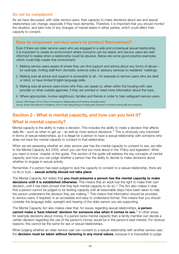#### Do not be complacent

As we have discussed, with older service users, their capacity to make decisions about sex and sexual relationships can change, especially if they have dementia. Therefore, it is important that you should monitor the situation, and take note of any changes of mental states in either parties, which could affect their capacity to consent.

#### **How to empower service users to protect themselves?**

Even if there are older service users who are engaged in a safe and consensual sexual relationship, it is important to create an environment where concerns can be raised, and service users are wellinformed to realise when a relationship could be abusive. Below are some good practice examples which could help create that environment:

- 1. Making service users aware of where they can find support and advice about any forms of abuse for example, inviting staff from domestic violence units or advisory services to residents' meetings.
- 2. Making sure all advice and support is accessible to all for example to service users who are deaf or blind, or have limited English language skills.
- 3. Making sure all service users know who they can speak to, either within the housing with care provider or other outside agencies, if they are worried or need more information about the topic.
- 4. Where appropriate, involve neighbours, families and friends in order to help safeguard service users.

Source: CHS People, (2014), Policy & Procedure for Safeguarding and Protecting Vulnerable Adults Source: Social Care Institute for Excellence, (2014), Adult safeguarding for housing staff: Guidance for frontline housing staff and contractors

## **Section 2 - What is mental capacity, and how can you test it? What is mental capacity?**

Mental capacity is the ability to make a decision. This includes the ability to make a decision that affects daily life – such as when to get up – as well as more serious decisions.<sup>11</sup> This is obviously very important in terms of sexual relationships, as it is illegal for a person to have a sexual relationship with someone who does not have the mental capacity to consent to that relationship.

When we are assessing whether an older service user has the mental capacity to consent to sex, we refer to the Mental Capacity Act 2005, which you can find out more about in the 'Policy and legislation: What you need to know' chapter of this guide. This section of the guide will address the key concepts of mental capacity, and how you can judge whether a person has the ability to decide to make decisions about whether to engage in sexual activity.

Remember, if a person has been judged to lack the capacity to consent to a sexual relationship, there are no ifs or buts – **sexual activity should not take place**.

The Mental Capacity Act states that **you must presume a person has the mental capacity to make decisions until it is established otherwise**. This means that an adult has the right to make their own decision, until it has been proved that they lack mental capacity to do so.<sup>12</sup> The Act also makes it clear that a person cannot be judged to be lacking capacity until all reasonable steps have been taken to help the person understand the decision they are making.13 This means that information should be provided to service users, if required, in an accessible and easy to understand format. This means that you should consider the language skills, eyesight and hearing of the older person you are supporting.

The Mental Capacity Act also makes clear that, for issues regarding sexual relationships, **a person cannot make a 'best interest' decision for someone else when it comes to sex.**14 In other areas, for example decisions about money, if a person lacks mental capacity then a family member can decide a certain decision regarding the use of the person's money would be in the person's best interest. For obvious reasons, this cannot be the same for sex or sexual relationships.

When judging whether an older service user can consent to a sexual relationship with another service user, the **decision must be taken without factoring in any moral values**, because it is impossible to judge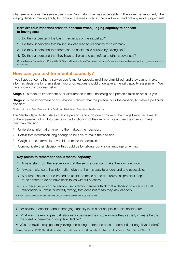what sexual actions the service user would 'normally' think was acceptable.15 Therefore it is important, when judging decision making ability, to consider the areas listed in the box below, and not any moral judgements.

#### **Here are four important areas to consider when judging capacity to consent to having sex:**

- 1. Do they understand the basic mechanics of the sexual act?
- 2. Do they understand that having sex can lead to pregnancy for a woman?
- 3. Do they understand that there can be health risks caused by having sex?
- 4. Do they understand that they have a choice and can refuse another's advances?

Source Mental Capacity and Policy, (2016). Sex and the simple test? Accessed at: http://www.mentalcapacitylawandpolicy.org.uk/sex-and-thesimple-test/

#### **How can you test for mental capacity?**

If you have concerns that a service user's mental capacity might be diminished, and they cannot make informed decisions for themselves, you or colleagues should undertake a mental capacity assessment. We have shown this process below:

**Stage 1**: Is there an impairment of or disturbance in the functioning of a person's mind or brain? If yes,

**Stage 2**: Is the impairment or disturbance sufficient that the person lacks the capacity to make a particular decision?

Directly quoted from: Social Care Institute of Excellence, (2009), Mental Capacity Act 2005 at a glance

The Mental Capacity Act states that if a person cannot do one or more of the things below, as a result of the impairment of or disturbance in the functioning of their mind or brain, then they cannot make their own decision:

- 1. Understand information given to them about their decision.
- 2. Retain that information long enough to be able to make the decision.
- 3. Weigh up the information available to make the decision.
- 4. Communicate their decision this could be by talking, using sign language or writing.

#### **Key points to remember about mental capacity**

- 1. Always start from the assumption that the service user can make their own decision.
- 2. Always make sure that information given to them is easy to understand and accessible.
- 3. A person should not be treated as unable to make a decision unless all practical steps to help them to do so have been taken without success.
- 4. Just because you or the service user's family members think that a decision to enter a sexual relationship is unwise or morally wrong, that does not mean they lack capacity.

Source: Social Care Institute of Excellence, (2009), Mental Capacity Act 2005 at a glance

Other points to consider about changing capacity in an older couple in a relationship are:

- What was the existing sexual relationship between the couple were they sexually intimate before the onset of dementia or cognitive decline?
- Was the relationship generally loving and caring, before the onset of dementia or cognitive decline?

Source: Gordon, M., (2016), The difficulty in defining consent in older adults with dementia. Annals of Long-Term Care and Aging, Volume 23 Issue 3.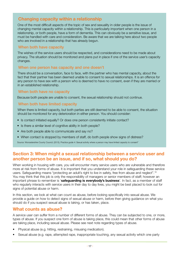## **Changing capacity within a relationship**

One of the most difficult aspects of the topic of sex and sexuality in older people is the issue of changing mental capacity within a relationship. This is particularly important when one person in a relationship, or both people, have a form of dementia. This can obviously be a sensitive issue, and must be handled with care and consideration. Be aware that we are talking here about two people who are involved in a relationship that has already begun.

#### When both have capacity

The wishes of the service users should be respected, and considerations need to be made about privacy. The situation should be monitored and plans put in place if one of the service user's capacity changes.

#### When one person has capacity and one doesn't

There should be a conversation, face to face, with the partner who has mental capacity, about the fact that their partner has been deemed unable to consent to sexual relationships. It is an offence for any person to have sex with a person who is deemed to have no consent, even if they are married or in an established relationship.

#### When both have no capacity

Because both people are unable to consent, the sexual relationship should not continue.

#### When both have limited capacity

When there is limited capacity, but both parties are still deemed to be able to consent, the situation should be monitored for any deterioration in either person. You should consider:

- Is contact initiated equally? Or does one person consistently initiate contact?
- Is there a similar level of cognitive ability in both people?
- Are both people able to communicate and say no?
- When contact is stopped by members of staff, do both people show signs of distress?

Source: Worcestershire County Council, (2013), Practice guide 4: Sexual activity where a person may have limited capacity to consent"

## **Section 3: When might a sexual relationship between a service user and another person be an issue, and if so, what should you do?**

When working in housing with care, you will encounter many service users who are vulnerable and therefore more at risk from forms of abuse. It is important that you understand your role in safeguarding these service users. Safeguarding means "protecting an adult's right to live in safety, free from abuse and neglect".16 You may think that this job is only the responsibility of managers or senior members of staff; however an important phrase to remember is '**safeguarding is everybody's business**'. In fact, as a member of staff who regularly interacts with service users in their day to day lives, you might be best placed to look out for signs of potential abuse or harm.

In this section, we look at what can count as abuse, before looking specifically into sexual abuse. We provide a guide on how to detect signs of sexual abuse or harm, before then giving guidance on what you should do if you suspect sexual abuse is taking, or has taken, place.

## **What counts as abuse?**

A service user can suffer from a number of different forms of abuse. They can be subjected to one, or more, types of abuse. If you suspect one form of abuse is taking place, this could mean that other forms of abuse are taking place, including sexual abuse. Please see next note regarding types of abuse.

- Physical abuse (e.g. hitting, restraining, misusing medication).
- Sexual abuse (e.g. rape, attempted rape, inappropriate touching, any sexual activity which one party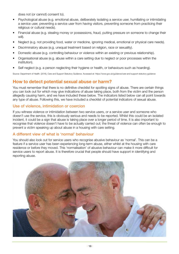does not (or cannot) consent to).

- Psychological abuse (e.g. emotional abuse, deliberately isolating a service user, humiliating or intimidating a service user, preventing a service user from having visitors, preventing someone from practicing their religious or cultural needs).
- Financial abuse (e.g. stealing money or possessions, fraud, putting pressure on someone to change their will).
- Neglect (e.g. not providing food, water or medicine, ignoring medical, emotional or physical care needs).
- Discriminatory abuse (e.g. unequal treatment based on religion, race or sexuality).
- Domestic abuse (e.g. controlling behaviour or violence within an existing or previous relationship).
- Organisational abuse (e.g. abuse within a care setting due to neglect or poor processes within the institution).
- Self neglect (e.g. a person neglecting their hygiene or health, or behaviours such as hoarding).

Source: Department of Health. (2016), Care and Support Statutory Guidance. Accessed at: https://www.gov.uk/guidance/care-and-support-statutory-guidance

## **How to detect potential sexual abuse or harm?**

You must remember that there is no definitive checklist for spotting signs of abuse. There are certain things you can look out for which may give indications of abuse taking place, both from the victim and the person allegedly causing harm, and we have included these below. The indicators listed below can all point towards any type of abuse. Following this, we have included a checklist of potential indicators of sexual abuse.

#### Use of violence, intimidation or coercion

If you witness violence or intimidation between two service users, or a service user and someone who doesn't use the service, this is obviously serious and needs to be reported. Whilst this could be an isolated incident, it could be a sign that abuse is taking place over a longer period of time. It is also important to recognise that violence doesn't have to be actually carried out; the threat of violence can often be enough to prevent a victim speaking up about abuse in a housing with care setting.

#### A different view of what is 'normal' behaviour

You should also look out for service users who recognise abusive behaviour as 'normal'. This can be a feature if a service user has been experiencing long-term abuse, either whilst at the housing with care residence or before they moved. This 'normalisation' of abusive behaviour can make it more difficult for service users to report abuse. It is therefore crucial that people should have support in identifying and reporting abuse.

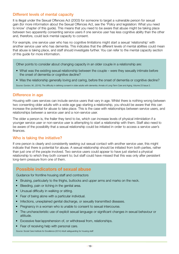#### Different levels of mental capacity

It is illegal under the Sexual Offences Act (2003) for someone to target a vulnerable person for sexual gain (for more information about the Sexual Offences Act, see the 'Policy and legislation: What you need to know' chapter of this guide). This means that you need to be aware that abuse might be taking place between two apparently consenting service users if one service user has less cognitive ability than the other and, therefore, could lack mental capacity to consent.

For example, one service user who has no cognitive limitations might start a sexual 'relationship' with another service user who has dementia. This indicates that the different levels of mental abilities could mean that abuse is taking place, and staff should investigate further. You can refer to the mental capacity section of this guide for more information.

Other points to consider about changing capacity in an older couple in a relationship are:

- What was the existing sexual relationship between the couple were they sexually intimate before the onset of dementia or cognitive decline?
- Was the relationship generally loving and caring, before the onset of dementia or cognitive decline?

Source: Gordon, M., (2016), The difficulty in defining consent in older adults with dementia. Annals of Long-Term Care and Aging, Volume 23 Issue 3.

#### Difference in age

Housing with care services can include service users that vary in age. Whilst there is nothing wrong between two consenting older adults with a wide age gap starting a relationship, you should be aware that this can increase the potential for abuse to take place. This is the case with relationships between service users, and relationships between a service user and a non-service user.

The older a person is, the frailer they tend to be, which can increase levels of physical intimidation if a younger service user or non-service user is attempting to start a relationship with them. Staff also need to be aware of the possibility that a sexual relationship could be initiated in order to access a service user's finances.

#### Who is taking the initiative?

If one person is clearly and consistently seeking out sexual contact with another service user, this might indicate that there is potential for abuse. A sexual relationship should be initiated from both parties, rather than just one of the people involved. Two service users could appear to have just started a physical relationship to which they both consent to; but staff could have missed that this was only after persistent long-term pressure from one of them.

## **Possible indicators of sexual abuse**

Guidance for frontline housing staff and contractors

- Bruising, particularly to the thighs, buttocks and upper arms and marks on the neck.
- Bleeding, pain or itching in the genital area.
- Unusual difficulty in walking or sitting.
- Fear of being alone with a particular individual.
- Infections, unexplained genital discharge, or sexually transmitted diseases.
- Pregnancy in a woman who is unable to consent to sexual intercourse.
- The uncharacteristic use of explicit sexual language or significant changes in sexual behaviour or attitude.
- Excessive fear/apprehension of, or withdrawal from, relationships.
- Fear of receiving help with personal care.

Source: Social Care Institute for Excellence (2014) Adult safeguarding for housing staff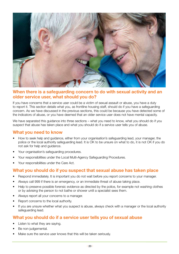

## **When there is a safeguarding concern to do with sexual activity and an older service user, what should you do?**

If you have concerns that a service user could be a victim of sexual assault or abuse, you have a duty to report it. This section details what you, as frontline housing staff, should do if you have a safeguarding concern. As we have discussed in the previous sections, this could be because you have detected some of the indicators of abuse, or you have deemed that an older service user does not have mental capacity.

We have separated this quidance into three sections – what you need to know, what you should do if you suspect that abuse has taken place and what you should do if a service user tells you of abuse.

## **What you need to know**

- How to seek help and guidance, either from your organisation's safeguarding lead, your manager, the police or the local authority safeguarding lead. It is OK to be unsure on what to do, it is not OK if you do not ask for help and guidance.
- Your organisation's safeguarding procedures.
- Your responsibilities under the Local Multi-Agency Safeguarding Procedures.
- Your responsibilities under the Care Act.

## **What you should do if you suspect that sexual abuse has taken place**

- Respond immediately. It is important you do not wait before you report concerns to your manager.
- Always call 999 if there is an emergency, or an immediate threat of abuse taking place.
- Help to preserve possible forensic evidence as directed by the police, for example not washing clothes or by advising the person to not bathe or shower until a specialist sees them.
- Always report all your concerns to a manager.
- Report concerns to the local authority.
- If you are unsure whether what you suspect is abuse, always check with a manager or the local authority safeguarding lead.

#### **What you should do if a service user tells you of sexual abuse**

- Listen to what they are saying.
- Be non-judgemental.
- Make sure the service user knows that this will be taken seriously.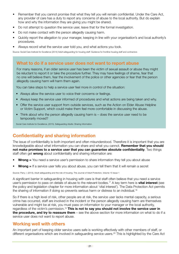- Remember that you cannot promise that what they tell you will remain confidential. Under the Care Act, any provider of care has a duty to report any concerns of abuse to the local authority. But do explain how and why the information they are giving you might be shared.
- Do not attempt to question the service user, leave that for the formal investigation.
- Do not make contact with the person allegedly causing harm.
- Quickly report the allegation to your manager, keeping in line with your organisation's and local authority's procedures.
- Always record what the service user told you, and what actions you took.

Source: Social Care Institute for Excellence (2014) Adult safeguarding for housing staff: Guidance for frontline housing staff and contractors

## **What to do if a service user does not want to report abuse**

For many reasons, if an older service user has been the victim of sexual assault or abuse they might be reluctant to report it or take the procedure further. They may have feelings of shame, fear that no one will believe them, fear the involvement of the police or other agencies or fear that the person allegedly causing harm will harm them again.

You can take steps to help a service user feel more in control of the situation:

- Always allow the service user to voice their concerns or feelings.
- Always keep the service user informed of procedures and what actions are being taken and why.
- Offer the service user support from outside services, such as the Action on Elder Abuse Helpline or Victim Support, which could make them feel more comfortable in discussing the abuse.
- Think about who the person allegedly causing harm is does the service user need to be temporarily moved?

Social Care Institute for Excellence, (2015). Safeguarding Adults: Sharing Information.

## **Confidentiality and sharing information**

The issue of confidentiality is both important and often misunderstood. Therefore it is important that you are knowledgeable about what information you can share and what you cannot. **Remember that you should not make promises to a service user that you can guarantee absolute confidentiality**. Two things staff often get **wrong** about confidentiality and sharing information are:

- **Wrong** = You need a service user's permission to share information they tell you about abuse
- **Wrong =** If a service user tells you about abuse, you can tell them that it will remain a secret

Source: Parry, I. (2013), Adult safeguarding and the role of housing. The Journal of Adult Protection, Volume 15 Issue 1

A significant barrier in safeguarding in housing with care is that staff often believe that you need a service user's permission to pass on details of abuse to the relevant bodies.17 A key term here is **vital interest** (see the policy and legislation chapter for more information about 'vital interest'). The Data Protection Act permits the sharing of information if doing so prevents serious harm or distress to an individual.<sup>18</sup>

So if there is a high level of risk, other people are at risk, the service user lacks mental capacity, a serious crime has occurred, staff are involved in the incident or the person allegedly causing harm are themselves vulnerable and might be at risk, you must pass on information to your manager or the local authority, regardless of the victim's permission.19 **This is not to say you should not involve the service user in the procedure, and try to reassure them** – see the above section for more information on what to do if a service user does not want to report abuse.

## **Working well with others**

An important part of keeping older service users safe is working effectively with other members of staff, or different organisations which are involved in safeguarding service users.<sup>20</sup> This is highlighted by the Care Act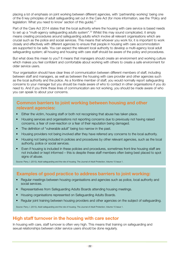placing a lot of emphasis on joint working between different agencies, with 'partnership working' being one of the 6 key principles of adult safeguarding set out in the Care Act (for more information, see the 'Policy and legislation: What you need to know' section of this guide).<sup>21</sup>

Part of the Care Act 2014 states that the local authority where the housing with care service is based needs to set up a "multi-agency safeguarding adults system".<sup>22</sup> Whilst this may sound complicated, it simply means creating procedures around safeguarding adults which involve all relevant organisations which are crucial such as the police and social services. This means that whoever you work for, it is important to work closely and effectively with different agencies to ensure that people in housing with care accommodation are supported to be safe. You can expect the relevant local authority to develop a multi-agency local adult safeguarding system; all housing and housing with care staff should be aware of the policy and procedures.

But what does this mean to you? It means that managers should create an environment and working culture which makes you feel confident and comfortable about working with others to create a safe environment for older service users.

Your organisation should have clear lines of communication between different members of staff, including between staff and managers, as well as between the housing with care provider and other agencies such as the local authority and the police. As a frontline member of staff, you would normally report safeguarding concerns to your manager but you should be made aware of who to contact in other organisations if you do need to. And if you think these lines of communication are not working, you should be made aware of who you can speak to about your concerns.

## **Common barriers to joint working between housing and other relevant agencies:**

- Either the victim, housing staff or both not recognising that abuse has taken place.
- Housing services and organisations not reporting concerns due to previously not having raised concerns, a fear of over-reaction or a fear of their reputation being damaged.
- The definition of "vulnerable adult" being too narrow in the past.
- Housing providers not being involved after they have referred any concerns to the local authority.
- Housing not being included in policies and procedures by other relevant agencies, such as the local authority, police or social services.
- Even if housing is included in these policies and procedures, sometimes front-line housing staff are not included or kept informed – this is despite these staff members often being best placed to spot signs of abuse.

Source: Parry, I. (2013), Adult safeguarding and the role of housing. The Journal of Adult Protection, Volume 15 Issue 1.

## **Examples of good practice to address barriers to joint working:**

- Regular meetings between housing organisations and agencies such as police, local authority and social services.
- Representatives from Safeguarding Adults Boards attending housing meetings.
- Housing organisations represented on Safeguarding Adults Boards.
- Regular joint training between housing providers and other agencies on the subject of safeguarding.

Source: Parry, I. (2013), Adult safeguarding and the role of housing. The Journal of Adult Protection, Volume 15 Issue 1.

## **High staff turnover in the housing with care sector**

In housing with care, staff turnover is often very high. This means that training on safeguarding and sexual relationships between older service users should be done regularly.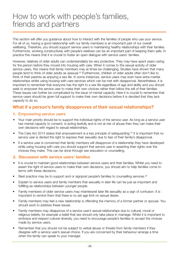## How to work with people's families, friends and partners

This section will offer you guidance about how to interact with the families of people who use your service. For all of us, having a good relationship with our family members is an important part of our overall wellbeing. Therefore, you should support service users in maintaining healthy relationships with their families. Furthermore, working constructively with people's relatives can be an important part of keeping them safe. In practice this means that it is crucial to foster an open dialogue with service users' families.

However, relatives of older adults can understandably be very protective. They may have spent years caring for the person before they moved into housing with care. When it comes to the sexual activity of older service users, this means that family members may at times be challenging. Studies have shown that many people tend to think of older adults as asexual.<sup>23</sup> Furthermore, children of older adults often don't like to think of their parents as enjoying a sex life. In some instances, service users may even have extra-marital relationships whilst using housing with care services which can be met with disapproval. Nevertheless, it is important to remember that everyone has the right to a sex life regardless of age and ability and you should seek to empower the service user to make their own choices rather than follow the will of their families. These issues can further be complicated by the issue of mental capacity. Here it is crucial to remember that service users should be given full support to make their own decisions before it is decided that they lack capacity to do so.

## **What if a person's family disapproves of their sexual relationships?**

#### **1.** Empowering service users

- Your main priority should be to support the individual rights of the service user. As long as a service user has mental capacity to consent, is acting lawfully and is not at risk of abuse then they can make their own decisions with regard to sexual relationships.
- The Care Act 2014 states that empowerment is a key principle of safeguarding.<sup>24</sup> It is important that no service user is denied the right to express their sexuality due to fear of their family's disapproval.
- If a service user is concerned that family members will disapprove of a relationship they have developed while using housing with care you should support that service user in asserting their rights over the choices they make. This can be done through sex education or counselling.

#### **2. Discussion with service users' families**

- It is crucial to maintain good relationships between service users and their families. Whilst you need to assert the right of service users to make their own decisions, you should aim to help families come to terms with these decisions.
- Best practice may be to support and or signpost people's families to counselling services.<sup>25</sup>
- Explain to service users and family members that sexuality in later life can be just as important and fulfilling as relationships between younger people.
- Family members of older service users may misinterpret later life sexuality as a sign of confusion. It is important to remind them that there is no set age limit on sexual desire.
- Family members may feel a new relationship is offending the memory of a former partner or spouse. You should work to address these issues.
- Family members may disapprove of a service user's sexual relationships due to cultural, moral or religious beliefs, for example a belief that sex should only take place in marriage. Whilst it is important to embrace and respect cultural diversity, you need to encourage people's families to accept the choices made by service users.
- Remember that you should not be subject to verbal abuse or threats from family members if they disagree with a service user's sexual choice. If you are concerned by their behaviour arrange a time when the family can speak to your manager.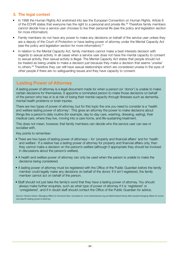### **3. The legal context**

- In 1998 the Human Rights Act enshrined into law the European Convention on Human Rights. Article 8 of the ECHR states that everyone has the right to a personal and private life.<sup>26</sup> Therefore family members cannot decide how a service user chooses to live their personal life (see the policy and legislation section for more information).
- Family members do not have any power to make any decisions on behalf of the service user unless they are a deputy of the Court of Protection or have lasting power of attorney under the Mental Capacity Act (see the policy and legislation section for more information). $27$
- In relation to the Mental Capacity Act, family members cannot make a best interests decision with regards to sexual activity. In all cases when a service user does not have the mental capacity to consent to sexual activity, then sexual activity is illegal. The Mental Capacity Act states that people should not be treated as being unable to make a decision just because they make a decision that seems 'unwise' to others.28 Therefore they can still have sexual relationships which are considered unwise in the eyes of other people if there are no safeguarding issues and they have capacity to consent.

## **Lasting Power of Attorney**

A lasting power of attorney is a legal document made for when a person (or 'donor') is unable to make certain decisions for themselves. It appoints a nominated person to make those decisions on behalf of the person who has or is at risk of losing their mental capacity through illnesses such as dementia, mental health problems or brain injuries.

There are two types of power of attorney, but for this topic the one you need to consider is a 'health and welfare lasting power of attorney'. This gives an attorney the power to make decisions about things like a person's daily routine (for example, day-to-day care, washing, dressing, eating), their medical care, where they live, moving into a care home, and life-sustaining treatment.

This does not mean, however, that family members can decide who the service user can see or socialise with.

Key points to remember:

- There are two types of lasting power of attorneys for 'property and financial affairs' and for 'health and welfare'. If a relative has a lasting power of attorney for property and financial affairs only, then they cannot make a decision on the person's welfare (although if appropriate they should be involved in discussions about the person's welfare).
- A health and welfare power of attorney can only be used when the person is unable to make the decisions being considered.
- A lasting power of attorney must be registered with the Office of the Public Guardian before the family member could legally make any decisions on behalf of the donor. If it isn't registered, the family member cannot act on behalf of the person.
- Staff should not just take the family's word that they have a lasting power of attorney. You should always make further enquiries, such as what type of power of attorney if it is 'registered' or 'unregistered', and if in doubt staff should contact the Office of the Public Guardian for advice.

Source: Citizens Advice. Managing Affairs for Someone Else. Accessed at: www.citizensadvice.org.uk/relationships/looking-after-people/managing-affairs-for-someone-else/#h-lasting-power-of-attorney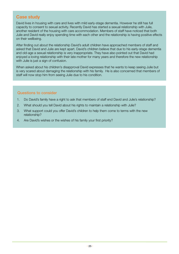## **Case study**

David lives in housing with care and lives with mild early-stage dementia. However he still has full capacity to consent to sexual activity. Recently David has started a sexual relationship with Julie, another resident of the housing with care accommodation. Members of staff have noticed that both Julie and David really enjoy spending time with each other and the relationship is having positive effects on their wellbeing.

After finding out about the relationship David's adult children have approached members of staff and asked that David and Julie are kept apart. David's children believe that due to his early-stage dementia and old-age a sexual relationship is very inappropriate. They have also pointed out that David had enjoyed a loving relationship with their late mother for many years and therefore the new relationship with Julie is just a sign of confusion.

When asked about his children's disapproval David expresses that he wants to keep seeing Julie but is very scared about damaging the relationship with his family. He is also concerned that members of staff will now stop him from seeing Julie due to his condition.

#### Questions to consider

- 1. Do David's family have a right to ask that members of staff end David and Julie's relationship?
- 2. What should you tell David about his rights to maintain a relationship with Julie?
- 3. What support could you offer David's children to help them come to terms with the new relationship?
- 4. Are David's wishes or the wishes of his family your first priority?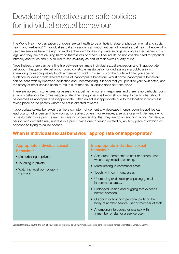## Developing effective and safe policies for individual sexual behaviour

The World Health Organisation considers sexual health to be a "holistic state of physical, mental and social health and wellbeing".<sup>29</sup> Individual sexual expression is an important part of overall sexual health. People who use care services have the right to explore their own bodies in private settings as long as their behaviour is legal and they are not causing harm to themselves or others. Older adults do not lose the need for physical intimacy and touch and it is crucial to see sexuality as part of their overall quality of life.

Nevertheless, there can be a fine line between legitimate individual sexual expression and 'inappropriate behaviour'. Inappropriate behaviour could constitute masturbation or undressing in a public area or attempting to inappropriately touch a member of staff. This section of the guide will offer you specific guidance for dealing with different forms of inappropriate behaviour. Whilst some inappropriate behaviour can be dealt with by improved education and understanding, it is vital that you prioritise your own safety and the safety of other service users to make sure that sexual abuse does not take place.

There are no set in stone rules for assessing sexual behaviour and responses and there is no particular point at which behaviour becomes inappropriate. The categorisations below should help to clarify what should be deemed as appropriate vs inappropriate. Often an act is inappropriate due to the location in which it is taking place or the person whom the act is directed towards.

Inappropriate sexual behaviour can be a symptom of dementia. A decrease in one's cognitive abilities can lead you to not understand how your actions affect others. For example, a service user with dementia who is masturbating in a public area may have no understanding that they are doing anything wrong. Similarly, a person with dementia may undress in a public place due to feeling irritated by an itchy piece of clothing as opposed to trying to cause offence.

## **When is individual sexual behaviour appropriate or inappropriate?**

## Appropriate individual sexual behaviour

- Masturbating in private.
- Touching in private.
- Watching legal pornography in private.

#### Inappropriate individual sexual behaviour

- Sexualised comments to staff or service users which may include swearing.
- Masturbating in communal areas.
- Touching in communal areas.
- Undressing or disrobing/ exposing genitals in communal areas.
- Prolonged kissing and hugging that exceeds normal affection.
- Grabbing or touching personal parts or the body of another service user or member of staff.
- Attempting intercourse or oral sex with a member of staff or a service user.

Source: Bamford,S, (2011), The last taboo A guide to dementia, sexuality, intimacy and sexual behaviour in care homes, International Longevity Centre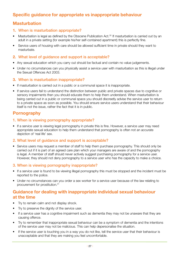## **Specific guidance for appropriate vs inappropriate behaviour**

## **Masturbation**

#### **1.** When is masturbation appropriate?

- Masturbation is legal as defined by the Obscene Publication Act.<sup>30</sup> If masturbation is carried out by an adult in a private setting (for example his/her self-contained apartment) this is perfectly fine.
- Service users of housing with care should be allowed sufficient time in private should they want to masturbate.

#### **2.** What level of guidance and support is acceptable?

- Any sexual education which you carry out should be factual and contain no value judgements.
- Under no circumstances can you physically assist a service user with masturbation as this is illegal under the Sexual Offences Act 2003.

#### **3.** When is masturbation inappropriate?

- If masturbation is carried out in a public or a communal space it is inappropriate.
- If service users fail to understand the distinction between public and private spaces due to cognitive or sensory impairments then you should educate them to help them understand. When masturbation is being carried out in a public or communal space you should discreetly advise the service user to return to a private space as soon as possible. You should ensure service users understand that their behaviour itself is not the issue, rather the fact that it is in public.

## **Pornography**

#### 1. When is viewing pornography appropriate?

• If a service user is viewing legal pornography in private this is fine. However, a service user may need appropriate sexual education to help them understand that pornography is often not an accurate depiction of 'real life' sex.

#### 2. What level of guidance and support is acceptable?

• Service users may request a member of staff to help them purchase pornography. This should only be carried out if it is part of an agreed care plan which your managers are aware of and the pornography is legal. A member of staff should never actively suggest purchasing pornography for a service user. However, they should not deny pornography to a service user who has the capacity to make a choice.

#### 3. When is viewing pornography inappropriate?

- If a service user is found to be viewing illegal pornography this must be stopped and the incident must be reported to the police.
- Under no circumstances can you order a sex worker for a service user because of the law relating to procurement for prostitution.31

## **Guidance for dealing with inappropriate individual sexual behaviour at the time**

- Try to remain calm and not display shock.
- Try to preserve the dignity of the service user.
- If a service user has a cognitive impairment such as dementia they may not be unaware that they are causing offence.
- Try to remember that inappropriate sexual behaviour can be a symptom of dementia and the intentions of the service user may not be malicious. This can help depersonalise the situation.
- If the service user is touching you in a way you do not like, tell the service user that their behaviour is unacceptable and that they are making you feel uncomfortable.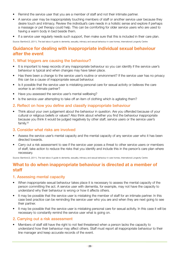- Remind the service user that you are a member of staff and not their intimate partner.
- A service user may be inappropriately touching members of staff or another service user because they desire touch and intimacy. Review the individual's care needs in a holistic sense and explore if perhaps a massage or pet therapy could help. This can be comforting for older service users who are used to having a warm body in bed beside them.
- If a service user regularly needs such support, then make sure that this is included in their care plan.

Source: Bamford,S, (2011), The last taboo A guide to dementia, sexuality, intimacy and sexual behaviour in care homes, International Longevity Centre

## **Guidance for dealing with inappropriate individual sexual behaviour after the event**

#### 1. What triggers are causing the behaviour?

- It is important to keep records of any inappropriate behaviour so you can identify if the service user's behaviour is typical and when changes may have taken place.
- Has there been a change to the service user's routine or environment? If the service user has no privacy this can be a cause of inappropriate sexual behaviour.
- Is it possible that the service user is mistaking personal care for sexual activity or believes the care worker is an intimate partner?
- Have you assessed the service user's mental wellbeing?
- Is the service user attempting to take off an item of clothing which is agitating them?

#### 2. Reflect on how you define and classify inappropriate behaviour

• Think about your own judgement about the behaviour in question. Are you offended because of your cultural or religious beliefs or values? Also think about whether you find the behaviour inappropriate because you think it would be judged negatively by other staff, service users or the service user's family.<sup>32</sup>

#### 3. Consider what risks are involved

- Assess the service user's mental capacity and the mental capacity of any service user who it has been directed towards.
- Carry out a risk assessment to see if the service user poses a threat to other service users or members of staff, take action to reduce the risks that you identify and include this in the person's care plan where necessary.

Source: Bamford,S, (2011), The last taboo A guide to dementia, sexuality, intimacy and sexual behaviour in care homes, International Longevity Centre

#### **What to do when inappropriate behaviour is directed at a member of staff**

#### 1. Assessing mental capacity

- When inappropriate sexual behaviour takes place it is necessary to assess the mental capacity of the person committing the act. A service user with dementia, for example, may not have the capacity to understand why their behaviour is wrong or how it affects others.
- It may be possible that the service user is mistaking the member of staff for an intimate partner. In this case best practice can be reminding the service user who you are and when they are next going to see their partner.
- It may be possible that the service user is mistaking personal care for sexual activity. In this case it will be necessary to constantly remind the service user what is going on.

#### 2. Carrying out a risk assessment

• Members of staff still have the right to not feel threatened when a person lacks the capacity to understand how their behaviour may affect others. Staff must report all inappropriate behaviour to their line manager and keep accurate records of the event.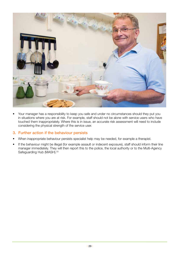

• Your manager has a responsibility to keep you safe and under no circumstances should they put you in situations where you are at risk. For example, staff should not be alone with service users who have touched them inappropriately. Where this is in issue, an accurate risk assessment will need to include considering the physical strength of the service user.

#### 3. Further action if the behaviour persists

- When inappropriate behaviour persists specialist help may be needed, for example a therapist.
- If the behaviour might be illegal (for example assault or indecent exposure), staff should inform their line manager immediately. They will then report this to the police, the local authority or to the Multi-Agency Safeguarding Hub (MASH). 33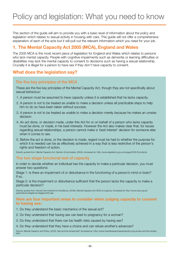This section of the guide will aim to provide you with a basic level of information about the policy and legislation which relates to sexual activity in housing with care. This guide will not offer a comprehensive explanation of each of the acts but it will pull out the relevant information which you need for your job.

## **1. The Mental Capacity Act 2005 (MCA), England and Wales**

The 2005 MCA is the most recent piece of legislation for England and Wales which relates to persons who lack mental capacity. People with cognitive impairments such as dementia or learning difficulties or disabilities may lack the mental capacity to consent to decisions such as having a sexual relationship. Crucially it is illegal for a person to have sex if they don't have capacity to consent.

## **What does the legislation say?**

#### The five key principles of the MCA

These are the five key principles of the Mental Capacity Act, though they are not specifically about sexual behaviour:

- 1. A person must be assumed to have capacity unless it is established that he lacks capacity.
- 2. A person is not to be treated as unable to make a decision unless all practicable steps to help him to do so have been taken without success.
- 3. A person is not to be treated as unable to make a decision merely because he makes an unwise decision.
- 4. An act done, or decision made, under this Act for or on behalf of a person who lacks capacity must be done, or made, in his best interests. However the Act also makes clear that, for issues regarding sexual relationships, a person cannot make a 'best interest' decision for someone else when it comes to sex.
- 5. Before the act is done, or the decision is made, regard must be had to whether the purpose for which it is needed can be as effectively achieved in a way that is less restrictive of the person's rights and freedom of action.

Directly quoted from: Mental Capacity Act, Section (2) principles, (2005), Accessed at: http://www.legislation.gov.uk/ukpga/2005/9/contents

#### The two stage functional test of capacity

In order to decide whether an individual has the capacity to make a particular decision, you must answer two questions:

Stage 1: is there an impairment of or disturbance in the functioning of a person's mind or brain? If so,

Stage 2: is the impairment or disturbance sufficient that the person lacks the capacity to make a particular decision?

Directly quoted from: Social Care Institute for Excellence, (2009), Mental Capacity Act 2005 at a glance, Accessed at: http://www.scie.org.uk/ publications/ataglance/ataglance05.asp

#### **Here are four important areas to consider when judging capacity to consent to having sex:**

- 1. Do they understand the basic mechanics of the sexual act?
- 2. Do they understand that having sex can lead to pregnancy for a woman?
- 3. Do they understand that there can be health risks caused by having sex?
- 4. Do they understand that they have a choice and can refuse another's advances?

Source: Mental Capacity and Policy, (2016). Sex and the simple test? Accessed at: http://www.mentalcapacitylawandpolicy.org.uk/sex-and-the-simpletest/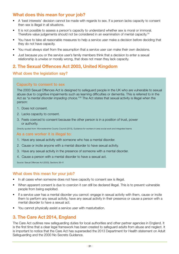## **What does this mean for your job?**

- A 'best interests' decision cannot be made with regards to sex. If a person lacks capacity to consent then sex is illegal in all situations.
- It is not possible to assess a person's capacity to understand whether sex is moral or immoral. Therefore value judgements should not be considered in an examination of mental capacity.<sup>34</sup>
- You have to take all reasonable measures to help a service user make a decision before deciding that they do not have capacity.
- You must always start from the assumption that a service user can make their own decisions.
- Just because you or the service user's family members think that a decision to enter a sexual relationship is unwise or morally wrong, that does not mean they lack capacity.

## **2. The Sexual Offences Act 2003, United Kingdom**

#### What does the legislation say?

#### Capacity to consent to sex

The 2003 Sexual Offences Act is designed to safeguard people in the UK who are vulnerable to sexual abuse due to cognitive impairments such as learning difficulties or dementia. This is referred to in the Act as "*a mental disorder impeding choice.*"35 The Act states that sexual activity is illegal when the person:

- 1. Does not consent.
- 2. Lacks capacity to consent.
- 3. Feels coerced to consent because the other person is in a position of trust, power or authority.

Directly quoted from: Worcestershire County Council (2013), Guidance for workers in area social work and integrated teams

#### As a care worker it is illegal to:

- 1. Have any sexual activity with someone who has a mental disorder.
- 2. Cause or incite anyone with a mental disorder to have sexual activity.
- 3. Have any sexual activity in the presence of someone with a mental disorder.
- 4. Cause a person with a mental disorder to have a sexual act.

Source: Sexual Offences Act (2003), Sections 38-41

#### What does this mean for your job?

- In all cases when someone does not have capacity to consent sex is illegal.
- When apparent consent is due to coercion it can still be declared illegal. This is to prevent vulnerable people from being exploited.
- If a service user has a mental disorder you cannot: engage in sexual activity with them, cause or incite them to perform any sexual activity, have any sexual activity in their presence or cause a person with a mental disorder to have a sexual act.
- You cannot physically assist a service user with masturbation.

## **3. The Care Act 2014, England**

The Care Act outlines new safeguarding duties for local authorities and other partner agencies in England. It is the first time that a clear legal framework has been created to safeguard adults from abuse and neglect. It is important to notice that the Care Act has superseded the 2013 Department for Health statement on Adult Safeguarding and the 2000 No Secrets Guidance.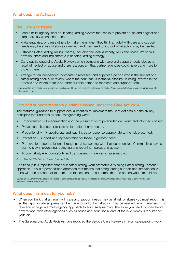#### The Care Act states:

- Lead a multi-agency local adult safeguarding system that seeks to prevent abuse and neglect and stop it quickly when it happens.
- Make enquiries, or cause others to make them, when they think an adult with care and support needs may be at risk of abuse or neglect and they need to find out what action may be needed.
- Establish Safeguarding Adults Boards, including the local authority, NHS and police, which will develop, share and implement a joint safeguarding strategy.
- Carry out Safeguarding Adults Reviews when someone with care and support needs dies as a result of neglect or abuse and there is a concern that partner agencies could have done more to protect them.
- Arrange for an independent advocate to represent and support a person who is the subject of a safeguarding enquiry or review, where the adult has 'substantial difficulty' in being involved in the process and where there is no other suitable person to represent and support them.

Directly quoted from:Social Care Institute for Excellence , (2015), The Care Act: Safeguarding adults. Accessed at: http://www.scie.org.uk/care-act-2014/ safeguarding-adults

#### Care and support statutory guidance issued under the Care Act 2014

The statutory guidance to support local authorities to implement the Care Act sets out the six key principles that underpin all adult safeguarding work.

- Empowerment Personalisation and the presumption of person-led decisions and informed consent.
- Prevention It is better to take action before harm occurs.
- Proportionality Proportionate and least intrusive response appropriate to the risk presented.
- Protection Support and representation for those in greatest need.
- Partnership Local solutions through services working with their communities. Communities have a part to play in preventing, detecting and reporting neglect and abuse.
- Accountability Accountability and transparency in delivering safeguarding.

Source: Care Act 2014 Care and Support Statutory Guidance

Additionally, it is important that adult safeguarding work promotes a 'Making Safeguarding Personal' approach. This is a personalised approach that means that safeguarding support and intervention is done with the person, not to them, and focuses on the outcomes that the person wants to achieve.

Source: Local Government Association, (2016), Making safeguarding personal. Accessed at: http://www.local.gov.uk/adult-social-care/-/journal\_content/56/10180/6074789/ARTICLE )

#### What does this mean for your job?

- When you think that an adult with care and support needs may be at risk of abuse you must report this so that appropriate enquiries can be made to find out what action may be needed. Your managers must take and engage in a multi-agency approach to adult safeguarding. Therefore you need to understand how to work with other agencies such as police and adult social care at the level which is required for your job.
- The Safeguarding Adult Reviews have replaced the Serious Case Reviews in adult safeguarding work.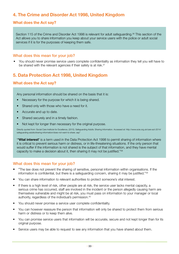## **4. The Crime and Disorder Act 1998, United Kingdom**

#### **What does the Act say?**

Section 115 of the Crime and Disorder Act 1998 is relevant for adult safeguarding.<sup>36</sup> This section of the Act allows you to share information you keep about your service users with the police or adult social services if it is for the purposes of keeping them safe.

#### What does this mean for your job?

• You should never promise service users complete confidentiality as information they tell you will have to be shared with the relevant agencies if their safety is at risk.<sup>37</sup>

## **5. Data Protection Act 1998, United Kingdom**

#### **What does the Act say?**

Any personal information should be shared on the basis that it is:

- Necessary for the purpose for which it is being shared.
- Shared only with those who have a need for it.
- Accurate and up to date.
- Shared securely and in a timely fashion.
- Not kept for longer than necessary for the original purpose.

Directly quoted from: Social Care Institute for Excellence, (2015). Safeguarding Adults: Sharing Information. Accessed at: http://www.scie.org.uk/care-act-2014/ safeguarding-adults/sharing-information/does-not-want-to-share. asp"

"**'Vital interest'** is a term used in the Data Protection Act 1998 to permit sharing of information where it is critical to prevent serious harm or distress, or in life-threatening situations. If the only person that would suffer if the information is not shared is the subject of that information, and they have mental capacity to make a decision about it, then sharing it may not be justified."38

#### What does this mean for your job?

- "The law does not prevent the sharing of sensitive, personal information within organisations. If the information is confidential, but there is a safeguarding concern, sharing it may be justified."39
- You can share information to relevant authorities to protect someone's vital interest.
- If there is a high level of risk, other people are at risk, the service user lacks mental capacity, a serious crime has occurred, staff are involved in the incident or the person allegedly causing harm are themselves vulnerable and might be at risk, you must pass on information to your manager or local authority, regardless of the individual's permission.<sup>40</sup>
- You should never promise a service user complete confidentiality.
- You can however reassure the person that information will only be shared to protect them from serious harm or distress or to keep them alive.
- You can promise service users that information will be accurate, secure and not kept longer than for its original purpose.
- Service users may be able to request to see any information that you have shared about them.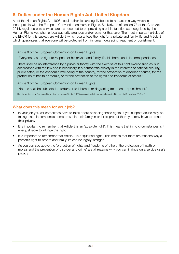## **6. Duties under the Human Rights Act, United Kingdom**

As of the Human Rights Act 1998, local authorities are legally bound to not act in a way which is incompatible with the European Convention on Human Rights. Similarly, as of section 73 of the Care Act 2014, regulated care services are also deemed to be providing a public function as recognised by the Human Rights Act when a local authority arranges and/or pays for that care. The most important articles of the EHCR for this subject are Article 8 which guarantees the right for a private and family life and Article 3 which guarantees that everyone will be protected from inhuman, degrading treatment or punishment.

Article 8 of the European Convention on Human Rights

"Everyone has the right to respect for his private and family life, his home and his correspondence.

There shall be no interference by a public authority with the exercise of this right except such as is in accordance with the law and is necessary in a democratic society in the interests of national security, public safety or the economic well-being of the country, for the prevention of disorder or crime, for the protection of health or morals, or for the protection of the rights and freedoms of others."

Article 3 of the European Convention on Human Rights

"No one shall be subjected to torture or to inhuman or degrading treatment or punishment."

Directly quoted from: European Convention on Human Rights, (1950) accessed at: http://www.echr.coe.int/Documents/Convention\_ENG.pdf"

#### What does this mean for your job?

- In your job you will sometimes have to think about balancing these rights. If you suspect abuse may be taking place in someone's home or within their family in order to protect them you may have to breach their privacy.
- It is important to remember that Article 3 is an 'absolute right'. This means that in no circumstances is it ever justifiable to infringe this right.
- It is important to remember that Article 8 is a 'qualified right'. This means that there are reasons why a person's right to private and family life can be legally infringed.
- As you can see above the 'protection of rights and freedoms of others, the protection of health or morals and the prevention of disorder and crime' are all reasons why you can infringe on a service user's privacy.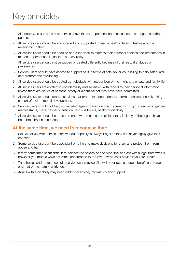## Key principles

- 1. All people who use adult care services have the same personal and sexual needs and rights as other people.
- 2. All service users should be encouraged and supported to lead a healthy life and lifestyle which is meaningful to them.
- 3. All service users should be enabled and supported to express their personal choices and preferences in respect of personal relationships and sexuality.
- 4. All service users should not be judged or treated differently because of their sexual attitudes or preferences.
- 5. Service users should have access to support be it in terms of safe sex or counselling to help safeguard and promote their wellbeing.
- 6. All service users should be treated as individuals with recognition of their right to a private and family life.
- 7. All service users are entitled to confidentiality and sensitivity with regard to their personal information unless there are issues of personal safety or a criminal act may have been committed.
- 8. All service users should receive services that promote: independence, informed choice and risk taking as part of their personal development.
- 9. Service users should not be discriminated against based on their: race/ethnic origin, creed, age, gender, marital status, class, sexual orientation, religious beliefs, health or disability.
- 10. All service users should be educated on how to make a complaint if they feel any of their rights have been breached in this respect.

## **At the same time, we need to recognise that:**

- 1. Sexual activity with service users without capacity is always illegal as they can never legally give their consent.
- 2. Some service users will be dependent on others to make decisions for them and protect them from abuse and harm.
- 3. It may sometimes seem difficult to balance the privacy of a service user and act within legal frameworks, however you must always act within accordance to the law. Always seek advice if you are unsure.
- 4. The choices and preferences of a service user may conflict with your own attitudes, beliefs and values and that of their family or friends.
- 5. Adults with a disability may need additional advice, information and support.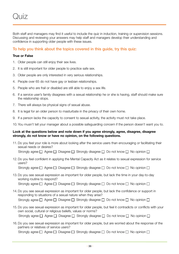Both staff and managers may find it useful to include the quiz in induction, training or supervision sessions. Discussing and reviewing your answers may help staff and managers develop their understanding and confidence in supporting older people with these issues.

#### To help you think about the topics covered in this guide, try this quiz:

#### **True or False**

- 1. Older people can still enjoy their sex lives.
- 2. It is still important for older people to practice safe sex.
- 3. Older people are only interested in very serious relationships.
- 4. People over 65 do not have gay or lesbian relationships.
- 5. People who are frail or disabled are still able to enjoy a sex life.
- 6. If a service user's family disagrees with a sexual relationship he or she is having, staff should make sure the relationship stops.
- 7. There will always be physical signs of sexual abuse.
- 8. It is legal for an older person to masturbate in the privacy of their own home.
- 9. If a person lacks the capacity to consent to sexual activity, the activity must not take place.
- 10. You musn't tell your manager about a possible safeguarding concern if the person doesn't want you to.

#### **Look at the questions below and note down if you agree strongly, agree, disagree, disagree strongly, do not know or have no opinion, on the following questions.**

- 11.Do you feel your role is more about looking after the service users than encouraging or facilitating their sexual needs or desires? Strongly agree  $\Box$  Agree  $\Box$  Disagree  $\Box$  Strongly disagree  $\Box$  Do not know  $\Box$  No opinion  $\Box$
- 12.Do you feel confident in applying the Mental Capacity Act as it relates to sexual expression for service users?

Strongly agree  $\Box$  Agree  $\Box$  Disagree  $\Box$  Strongly disagree  $\Box$  Do not know  $\Box$  No opinion  $\Box$ 

- 13.Do you see sexual expression as important for older people, but lack the time in your day-to-day working routine to respond? Strongly agree  $\Box$  Agree  $\Box$  Disagree  $\Box$  Strongly disagree  $\Box$  Do not know  $\Box$  No opinion  $\Box$
- 14.Do you see sexual expression as important for older people, but lack the confidence or support in responding to situations of a sexual nature when they arise? Strongly agree  $\Box$  Agree  $\Box$  Disagree  $\Box$  Strongly disagree  $\Box$  Do not know  $\Box$  No opinion  $\Box$
- 15.Do you see sexual expression as important for older people, but feel it contradicts or conflicts with your own social, cultural or religious beliefs, values or norms? Strongly agree  $\Box$  Agree  $\Box$  Disagree  $\Box$  Strongly disagree  $\Box$  Do not know  $\Box$  No opinion  $\Box$
- 16.Do you see sexual expression as important for older people, but are worried about the response of the partners or relatives of service users?

Strongly agree  $\Box$  Agree  $\Box$  Disagree  $\Box$  Strongly disagree  $\Box$  Do not know  $\Box$  No opinion  $\Box$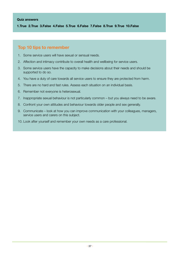**1.True 2.True 3.False 4.False 5.True 6.False 7.False 8.True 9.True 10.False**

### **Top 10 tips to remember**

- 1. Some service users will have sexual or sensual needs.
- 2. Affection and intimacy contribute to overall health and wellbeing for service users.
- 3. Some service users have the capacity to make decisions about their needs and should be supported to do so.
- 4. You have a duty of care towards all service users to ensure they are protected from harm.
- 5. There are no hard and fast rules. Assess each situation on an individual basis.
- 6. Remember not everyone is heterosexual.
- 7. Inappropriate sexual behaviour is not particularly common but you always need to be aware.
- 8. Confront your own attitudes and behaviour towards older people and sex generally.
- 9. Communicate look at how you can improve communication with your colleagues, managers, service users and carers on this subject.
- 10. Look after yourself and remember your own needs as a care professional.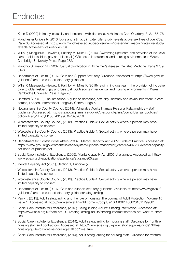- 1 Kuhn D (2002) Intimacy, sexuality and residents with dementia. Alzheimer's Care Quarterly. 3, 2, 165–76
- 2 Manchester University (2016) Love and Intimacy in Later Life: Study reveals active sex lives of over-70s. Page 60 Accessed at: http://www.manchester.ac.uk/discover/news/love-and-intimacy-in-later-life-studyreveals-active-sex-lives-of-over-70s
- 3 Willis P, Maegusuku-Hewett T, Raithby M, Miles P, (2016), Swimming upstream: the provision of inclusive care to older lesbian, gay and bisexual (LGB) adults in residential and nursing environments in Wales, Cambridge University Press, Page 282.
- 4 Manchip S, Menon VB (2007) Sexual disinhibition in Alzheimer's disease. Geriatric Medicine. Page 37, 9, 51–6.
- 5 Department of Health. (2016). Care and Support Statutory Guidance. Accessed at: https://www.gov.uk/ guidance/care-and-support-statutory-guidance
- 6 Willis P, Maegusuku-Hewett T, Raithby M, Miles P, (2016), Swimming upstream: the provision of inclusive care to older lesbian, gay and bisexual (LGB) adults in residential and nursing environments in Wales, Cambridge University Press, Page 285.
- 7 Bamford,S, (2011), The last taboo A guide to dementia, sexuality, intimacy and sexual behaviour in care homes, London, International Longevity Centre, Page 6
- 8 Nottinghamshire County Council, (2014), Vulnerable Adults Intimate Personal Relationships staff guidance. Accessed at: http://site.nottinghamshire.gov.uk/thecouncil/plans/councilplansandpolicies/ policy-library/?EntryId100=431996 04/07/2016
- 9 Worcestershire County Council, (2013), Practice Guide 4: Sexual activity where a person may have limited capacity to consent.
- 10 Worcestershire County Council, (2013), Practice Guide 4: Sexual activity where a person may have limited capacity to consent.
- 11 Department for Constitutional Affairs, (2007). Mental Capacity Act 2005: Code of Practice. Accessed at: https://www.gov.uk/government/uploads/system/uploads/attachment\_data/file/497253/Mental-capacityact-code-of-practice.pdf
- 12 Social Care Institute of Excellence, (2009), Mental Capacity Act 2005 at a glance. Accessed at: http:// www.scie.org.uk/publications/ataglance/ataglance05.asp
- 13 Mental Capacity Act (2005), Section 1, Principle (2)
- 14 Worcestershire County Council, (2013), Practice Guide 4: Sexual activity where a person may have limited capacity to consent.
- 15 Worcestershire County Council, (2013), Practice Guide 4: Sexual activity where a person may have limited capacity to consent.
- 16 Department of Health. (2016). Care and support statutory guidance. Available at: https://www.gov.uk/ guidance/care-and-support-statutory-guidance/safeguarding
- 17 Parry, I. (2013), Adult safeguarding and the role of housing. The Journal of Adult Protection, Volume 15 Issue 1. Accessed at: http://www.emeraldinsight.com/doi/pdfplus/10.1108/14668201311299881
- 18 Social Care Institute for Excellence, (2015). Safeguarding Adults: Sharing Information. Accessed at: http://www.scie.org.uk/care-act-2014/safeguarding-adults/sharing-information/does-not-want-to-share. asp
- 19 Social Care Institute for Excellence, (2014), Adult safeguarding for housing staff: Guidance for frontline housing staff and contractors. Accessed at: http://www.scie.org.uk/publications/guides/guide53/files/ housing-guide-for-frontline-housing-staff.pdf?res=true
- 20 Social Care Institute for Excellence, (2014), Adult safeguarding for housing staff: Guidance for frontline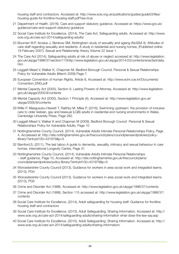housing staff and contractors. Accessed at: http://www.scie.org.uk/publications/guides/guide53/files/ housing-guide-for-frontline-housing-staff.pdf?res=true

- 21 Department of Health. (2016). Care and support statutory guidance. Accessed at: https://www.gov.uk/ guidance/care-and-support-statutory-guidance
- 22 Social Care Institute for Excellence, (2014), The Care Act: Safeguarding adults. Accessed at: http://www. scie.org.uk/care-act-2014/safeguarding-adults/
- 23 Bouman W.P, Arcelus J, Benbow SM, Nottingham study of sexuality and ageing (NoSSA II). Attitudes of care staff regarding sexuality and residents: A study in residential and nursing homes, (Published online 19 February 2007), Sexual and Relationship theory Volume 22 Issue 1.
- 24 The Care Act (2014), Safeguarding adults at risk of abuse or neglect accessed at: http://www.legislation. gov.uk/ukpga/1998/37/section/115http://www.legislation.gov.uk/ukpga/2014/23/contents/enacted/data. htm
- 25 Leggatt-Mead V, Walker K, Chapman M, Bedford Borough Council, Personal & Sexual Relationships Policy for Vulnerable Adults (March 2009) Page 7.
- 26 European Convention of Human Rights, Article 8, Accessed at: http://www.echr.coe.int/Documents/ Convention\_ENG.pdf
- 27 Mental Capacity Act (2005), Section 9. Lasting Powers of Attorney, Accessed at: http://www.legislation. gov.uk/ukpga/2005/9/contents
- 28 Mental Capacity Act (2005), Section 1 Principle (4), Accessed at: http://www.legislation.gov.uk/ ukpga/2005/9/contents
- 29 Willis P, Maegusuku-Hewett T, Raithby M, Miles P, (2016), Swimming upstream: the provision of inclusive care to older lesbian, gay and bisexual (LGB) adults in residential and nursing environments in Wales, Cambridge University Press, Page 282.
- 30 Leggatt-Mead V, Walker K and Chapman M (2009), Bedford Borough Council Personal & Sexual Relationships Policy for Vulnerable Adults, Page 10
- 31 Nottinghamshire County Council, (2014), Vulnerable Adults Intimate Personal Relationships Policy, Page 4, Accsessed at: http://site.nottinghamshire.gov.uk/thecouncil/plans/councilplansandpolicies/policylibrary/?entryid100=431979&p=5
- 32 Bamford,S, (2011), The last taboo A guide to dementia, sexuality, intimacy and sexual behaviour in care homes, International Longevity Centre, Page 31
- 33 Nottinghamshire County Council, (2014), Vulnerable Adults Intimate Personal Relationships – staff guidance, Page 10, Accessed at: http://site.nottinghamshire.gov.uk/thecouncil/plans/ councilplansandpolicies/policy-library/?entryid100=431979&p=5
- 34 Worcestershire County Council (2013), Guidance for workers in area social work and integrated teams. (2013), PG4
- 35 Worcestershire County Council (2013), Guidance for workers in area social work and integrated teams. (2013), PG5
- 36 Crime and Disorder Act (1998). Accessed at: http://www.legislation.gov.uk/ukpga/1998/37/contents
- 37 Crime and Disorder Act (1998), Section 115 accessed at: http://www.legislation.gov.uk/ukpga/1998/37/ contents
- 38 Social Care Institute for Excellence, (2014), Adult safeguarding for housing staff: Guidance for frontline housing staff and contractors
- 39 Social Care Institute for Excellence. (2015). Adult Safeguarding: Sharing Information. Accessed at: http:// www.scie.org.uk/care-act-2014/safeguarding-adults/sharing-information what-does-the-law-say.asp
- 40 Social Care Institute for Excellence. (2015). Adult Safeguarding: Sharing Information. Accessed at: http:// www.scie.org.uk/care-act-2014/safeguarding-adults/sharing-information/